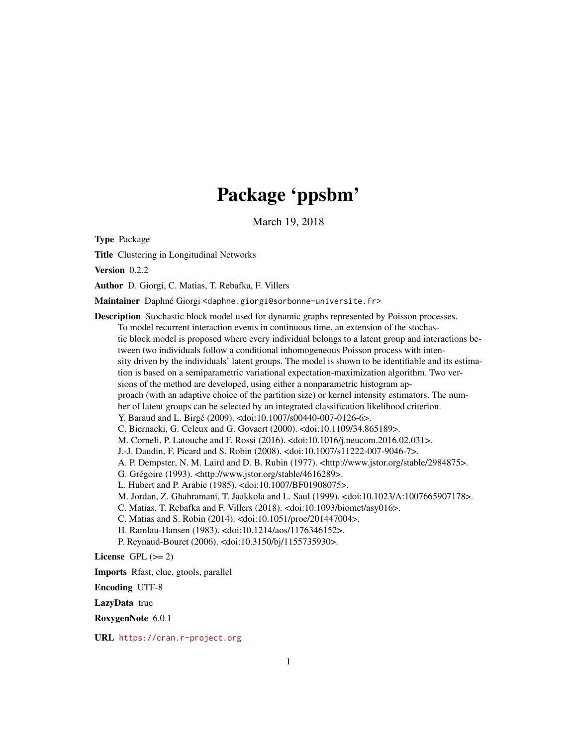## Package 'ppsbm'

March 19, 2018

Type Package

Title Clustering in Longitudinal Networks

Version 0.2.2

Author D. Giorgi, C. Matias, T. Rebafka, F. Villers

Maintainer Daphné Giorgi <daphne.giorgi@sorbonne-universite.fr>

Description Stochastic block model used for dynamic graphs represented by Poisson processes.

To model recurrent interaction events in continuous time, an extension of the stochastic block model is proposed where every individual belongs to a latent group and interactions between two individuals follow a conditional inhomogeneous Poisson process with intensity driven by the individuals' latent groups. The model is shown to be identifiable and its estimation is based on a semiparametric variational expectation-maximization algorithm. Two versions of the method are developed, using either a nonparametric histogram approach (with an adaptive choice of the partition size) or kernel intensity estimators. The number of latent groups can be selected by an integrated classification likelihood criterion. Y. Baraud and L. Birgé (2009). <doi:10.1007/s00440-007-0126-6>. C. Biernacki, G. Celeux and G. Govaert (2000). <doi:10.1109/34.865189>. M. Corneli, P. Latouche and F. Rossi (2016). <doi:10.1016/j.neucom.2016.02.031>. J.-J. Daudin, F. Picard and S. Robin (2008). <doi:10.1007/s11222-007-9046-7>. A. P. Dempster, N. M. Laird and D. B. Rubin (1977). <http://www.jstor.org/stable/2984875>. G. Grégoire (1993). <http://www.jstor.org/stable/4616289>. L. Hubert and P. Arabie (1985). <doi:10.1007/BF01908075>. M. Jordan, Z. Ghahramani, T. Jaakkola and L. Saul (1999). <doi:10.1023/A:1007665907178>. C. Matias, T. Rebafka and F. Villers (2018). <doi:10.1093/biomet/asy016>. C. Matias and S. Robin (2014). <doi:10.1051/proc/201447004>. H. Ramlau-Hansen (1983). <doi:10.1214/aos/1176346152>. P. Reynaud-Bouret (2006). <doi:10.3150/bj/1155735930>. License GPL  $(>= 2)$ Imports Rfast, clue, gtools, parallel Encoding UTF-8

LazyData true

RoxygenNote 6.0.1

URL <https://cran.r-project.org>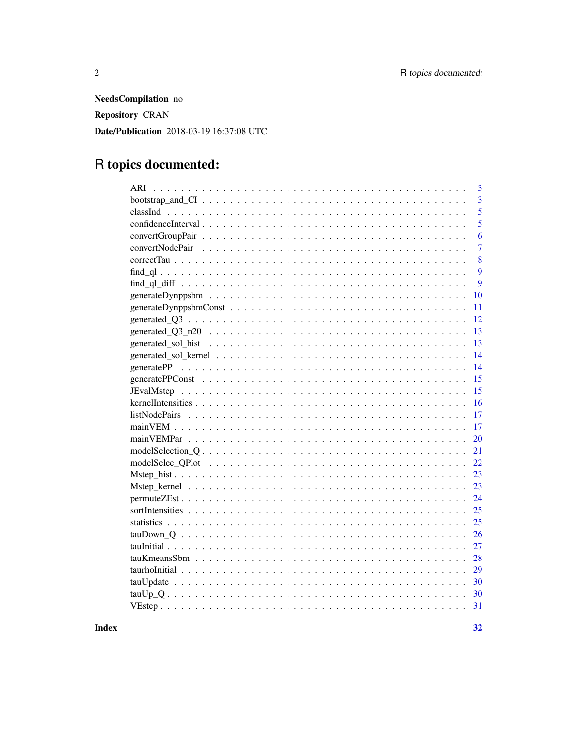NeedsCompilation no **Repository CRAN** Date/Publication 2018-03-19 16:37:08 UTC

## R topics documented:

|    | 3              |
|----|----------------|
|    | $\overline{3}$ |
|    | 5              |
|    | 5              |
|    | 6              |
|    | $\overline{7}$ |
|    | 8              |
|    | 9              |
|    | 9              |
| 10 |                |
| 11 |                |
| 12 |                |
| 13 |                |
| 13 |                |
| 14 |                |
| 14 |                |
| 15 |                |
| 15 |                |
| 16 |                |
| 17 |                |
| 17 |                |
| 20 |                |
| 21 |                |
| 22 |                |
| 23 |                |
| 23 |                |
| 24 |                |
| 25 |                |
| 25 |                |
| 26 |                |
| 27 |                |
| 28 |                |
| 29 |                |
| 30 |                |
| 30 |                |
| 31 |                |
|    |                |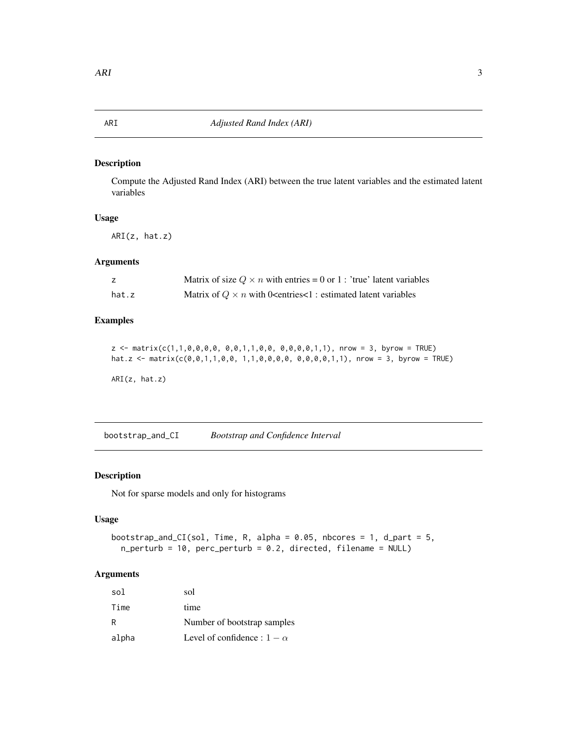#### <span id="page-2-0"></span>Description

Compute the Adjusted Rand Index (ARI) between the true latent variables and the estimated latent variables

### Usage

ARI(z, hat.z)

### Arguments

|       | Matrix of size $Q \times n$ with entries = 0 or 1 : 'true' latent variables                           |
|-------|-------------------------------------------------------------------------------------------------------|
| hat.z | Matrix of $Q \times n$ with 0 <entries<1 :="" estimated="" latent="" td="" variables<=""></entries<1> |

### Examples

```
z <- matrix(c(1,1,0,0,0,0, 0,0,1,1,0,0, 0,0,0,0,1,1), nrow = 3, byrow = TRUE)
hat.z <- matrix(c(0,0,1,1,0,0, 1,1,0,0,0,0, 0,0,0,0,1,1), nrow = 3, byrow = TRUE)
```
ARI(z, hat.z)

bootstrap\_and\_CI *Bootstrap and Confidence Interval*

### Description

Not for sparse models and only for histograms

### Usage

```
bootstrap_and_CI(sol, Time, R, alpha = 0.05, nbcores = 1, d_part = 5,
 n_perturb = 10, perc_perturb = 0.2, directed, filename = NULL)
```

| sol   | sol                                |
|-------|------------------------------------|
| Time  | time                               |
| R     | Number of bootstrap samples        |
| alpha | Level of confidence : $1 - \alpha$ |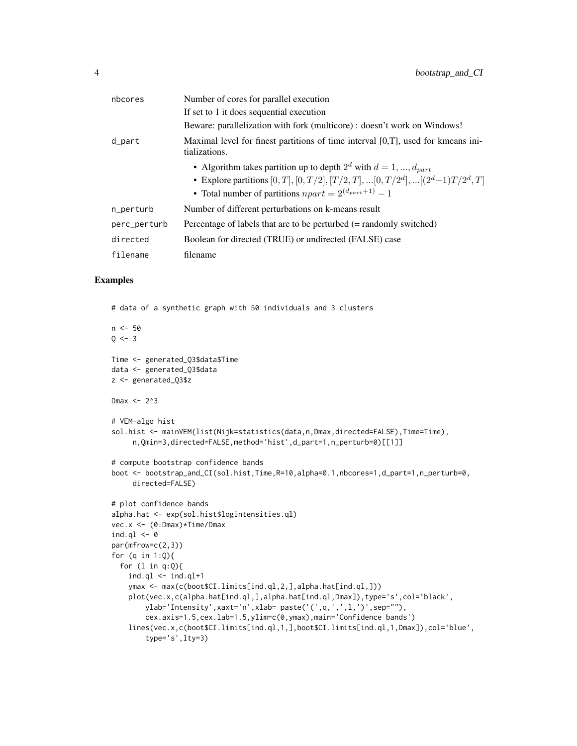| nbcores      | Number of cores for parallel execution                                                                                                                                                                                                    |
|--------------|-------------------------------------------------------------------------------------------------------------------------------------------------------------------------------------------------------------------------------------------|
|              | If set to 1 it does sequential execution                                                                                                                                                                                                  |
|              | Beware: parallelization with fork (multicore) : doesn't work on Windows!                                                                                                                                                                  |
| d_part       | Maximal level for finest partitions of time interval $[0,T]$ , used for kmeans ini-<br>tializations.                                                                                                                                      |
|              | • Algorithm takes partition up to depth $2^d$ with $d = 1, , d_{part}$<br>• Explore partitions $[0, T], [0, T/2], [T/2, T], \ldots, [0, T/2^d], \ldots, [(2^d-1)T/2^d, T]$<br>• Total number of partitions $npart = 2^{(d_{part}+1)} - 1$ |
| n_perturb    | Number of different perturbations on k-means result                                                                                                                                                                                       |
| perc_perturb | Percentage of labels that are to be perturbed (= randomly switched)                                                                                                                                                                       |
| directed     | Boolean for directed (TRUE) or undirected (FALSE) case                                                                                                                                                                                    |
| filename     | filename                                                                                                                                                                                                                                  |

#### Examples

# data of a synthetic graph with 50 individuals and 3 clusters

```
n < -500 < -3Time <- generated_Q3$data$Time
data <- generated_Q3$data
z <- generated_Q3$z
Dmax \leq -2^3# VEM-algo hist
sol.hist <- mainVEM(list(Nijk=statistics(data,n,Dmax,directed=FALSE),Time=Time),
     n,Qmin=3,directed=FALSE,method='hist',d_part=1,n_perturb=0)[[1]]
# compute bootstrap confidence bands
boot <- bootstrap_and_CI(sol.hist,Time,R=10,alpha=0.1,nbcores=1,d_part=1,n_perturb=0,
     directed=FALSE)
# plot confidence bands
alpha.hat <- exp(sol.hist$logintensities.ql)
vec.x <- (0:Dmax)*Time/Dmax
ind.ql <-0par(mfrow=c(2,3))
for (q in 1:Q){
  for (l in q:Q){
    ind.ql \leq ind.ql+1
    ymax <- max(c(boot$CI.limits[ind.ql,2,],alpha.hat[ind.ql,]))
   plot(vec.x,c(alpha.hat[ind.ql,],alpha.hat[ind.ql,Dmax]),type='s',col='black',
        ylab='Intensity',xaxt='n',xlab= paste('(',q,',',l,')',sep=""),
        cex.axis=1.5,cex.lab=1.5,ylim=c(0,ymax),main='Confidence bands')
    lines(vec.x,c(boot$CI.limits[ind.ql,1,],boot$CI.limits[ind.ql,1,Dmax]),col='blue',
        type='s',lty=3)
```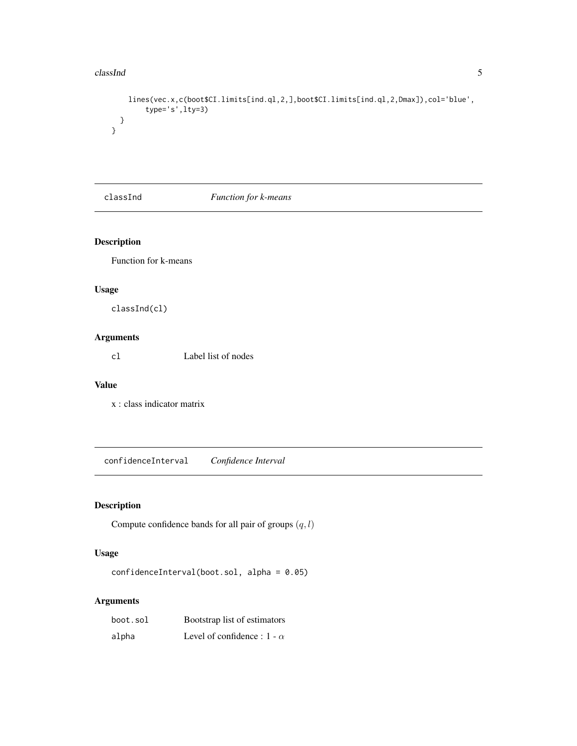#### <span id="page-4-0"></span>classInd 5

}

```
lines(vec.x,c(boot$CI.limits[ind.ql,2,],boot$CI.limits[ind.ql,2,Dmax]),col='blue',
     type='s',lty=3)
}
```
classInd *Function for k-means*

### Description

Function for k-means

### Usage

classInd(cl)

### Arguments

cl Label list of nodes

### Value

x : class indicator matrix

confidenceInterval *Confidence Interval*

### Description

Compute confidence bands for all pair of groups  $(q, l)$ 

### Usage

```
confidenceInterval(boot.sol, alpha = 0.05)
```

| boot.sol | Bootstrap list of estimators       |
|----------|------------------------------------|
| alpha    | Level of confidence : $1 - \alpha$ |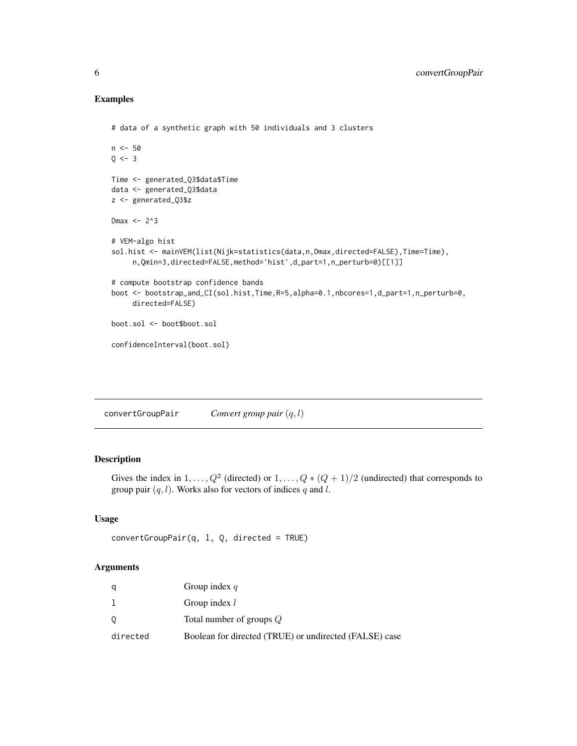### Examples

```
# data of a synthetic graph with 50 individuals and 3 clusters
n < -50Q \le -3Time <- generated_Q3$data$Time
data <- generated_Q3$data
z <- generated_Q3$z
Dmax <-2^3# VEM-algo hist
sol.hist <- mainVEM(list(Nijk=statistics(data,n,Dmax,directed=FALSE),Time=Time),
     n,Qmin=3,directed=FALSE,method='hist',d_part=1,n_perturb=0)[[1]]
# compute bootstrap confidence bands
boot <- bootstrap_and_CI(sol.hist,Time,R=5,alpha=0.1,nbcores=1,d_part=1,n_perturb=0,
     directed=FALSE)
boot.sol <- boot$boot.sol
confidenceInterval(boot.sol)
```
convertGroupPair *Convert group pair* (q, l)

### Description

Gives the index in  $1, \ldots, Q^2$  (directed) or  $1, \ldots, Q*(Q+1)/2$  (undirected) that corresponds to group pair  $(q, l)$ . Works also for vectors of indices q and l.

### Usage

```
convertGroupPair(q, l, Q, directed = TRUE)
```

| q        | Group index $q$                                        |
|----------|--------------------------------------------------------|
|          | Group index $l$                                        |
| 0        | Total number of groups $Q$                             |
| directed | Boolean for directed (TRUE) or undirected (FALSE) case |

<span id="page-5-0"></span>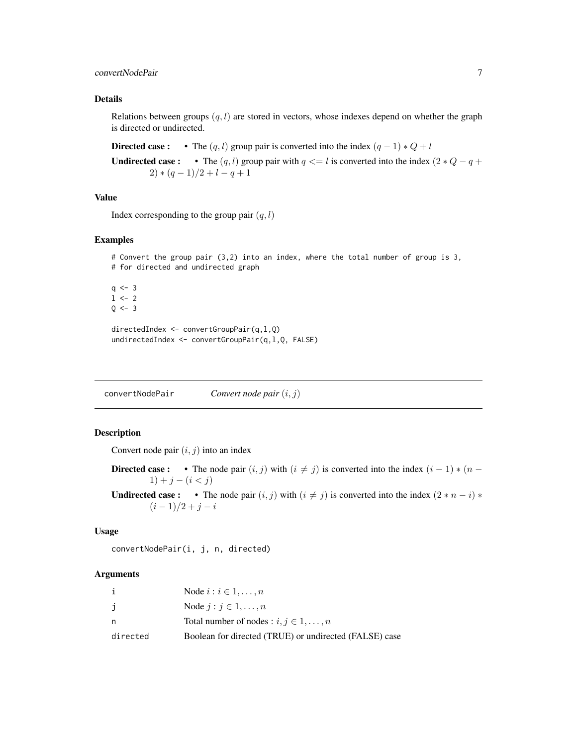### <span id="page-6-0"></span>convertNodePair 7

#### Details

Relations between groups  $(q, l)$  are stored in vectors, whose indexes depend on whether the graph is directed or undirected.

Directed case : • The  $(q, l)$  group pair is converted into the index  $(q - 1) * Q + l$ 

**Undirected case :** • The  $(q, l)$  group pair with  $q \le l$  is converted into the index  $(2 * Q - q + q)$  $2)*(q-1)/2+l-q+1$ 

#### Value

Index corresponding to the group pair  $(q, l)$ 

#### Examples

```
# Convert the group pair (3,2) into an index, where the total number of group is 3,
# for directed and undirected graph
q \le -31 <- 2
Q \le -3directedIndex <- convertGroupPair(q,l,Q)
undirectedIndex <- convertGroupPair(q,l,Q, FALSE)
```
convertNodePair *Convert node pair* (i, j)

#### Description

Convert node pair  $(i, j)$  into an index

Directed case : • The node pair  $(i, j)$  with  $(i \neq j)$  is converted into the index  $(i - 1) * (n - j)$  $1) + j - (i < j)$ 

**Undirected case :** • The node pair  $(i, j)$  with  $(i \neq j)$  is converted into the index  $(2 * n - i) *$  $(i - 1)/2 + j - i$ 

#### Usage

convertNodePair(i, j, n, directed)

|          | Node $i : i \in 1, \ldots, n$                          |
|----------|--------------------------------------------------------|
| j        | Node $j : j \in 1, \ldots, n$                          |
| n        | Total number of nodes : $i, j \in 1, , n$              |
| directed | Boolean for directed (TRUE) or undirected (FALSE) case |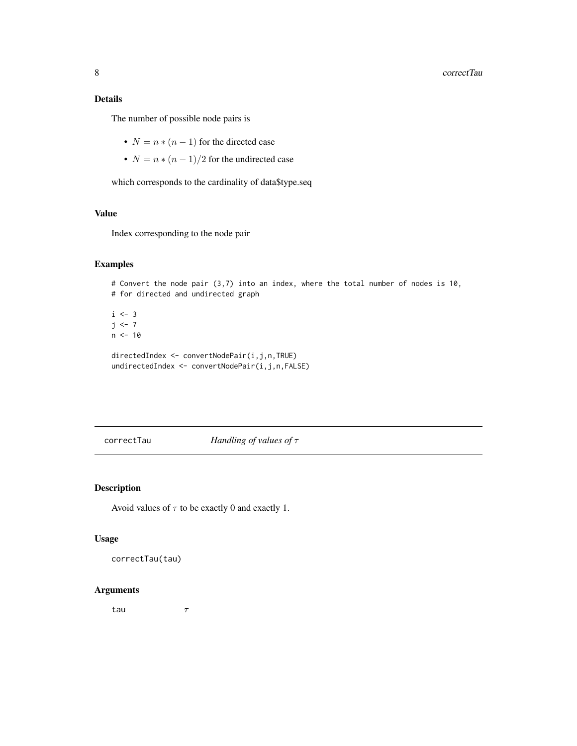### <span id="page-7-0"></span>Details

The number of possible node pairs is

- $N = n * (n 1)$  for the directed case
- $N = n * (n 1)/2$  for the undirected case

which corresponds to the cardinality of data\$type.seq

#### Value

Index corresponding to the node pair

### Examples

```
# Convert the node pair (3,7) into an index, where the total number of nodes is 10,
# for directed and undirected graph
i \leq -3j \le -7n < -10directedIndex <- convertNodePair(i,j,n,TRUE)
undirectedIndex <- convertNodePair(i,j,n,FALSE)
```
correctTau *Handling of values of* τ

#### Description

Avoid values of  $\tau$  to be exactly 0 and exactly 1.

#### Usage

correctTau(tau)

#### Arguments

tau  $\tau$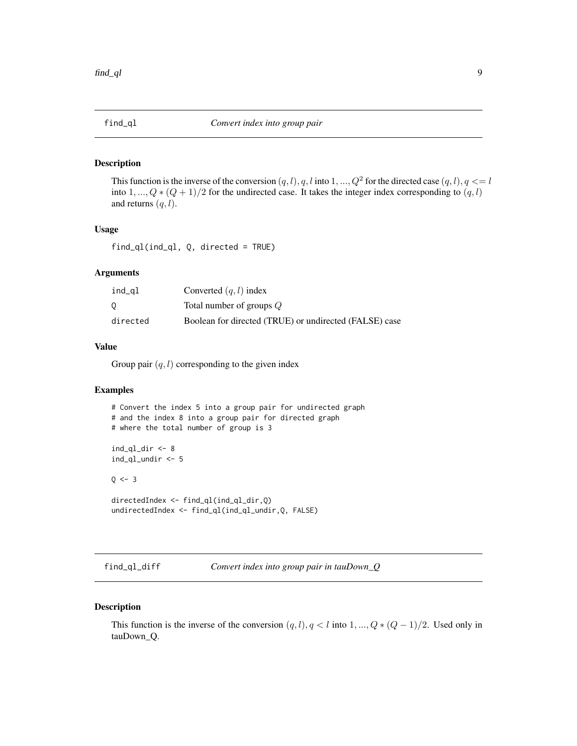<span id="page-8-0"></span>

#### Description

This function is the inverse of the conversion  $(q, l), q, l$  into  $1, ..., Q<sup>2</sup>$  for the directed case  $(q, l), q \leq l$ into 1, ...,  $Q * (Q + 1)/2$  for the undirected case. It takes the integer index corresponding to  $(q, l)$ and returns  $(q, l)$ .

#### Usage

find\_ql(ind\_ql, Q, directed = TRUE)

#### Arguments

| ind_gl   | Converted $(q, l)$ index                               |
|----------|--------------------------------------------------------|
| 0        | Total number of groups Q                               |
| directed | Boolean for directed (TRUE) or undirected (FALSE) case |

### Value

Group pair  $(q, l)$  corresponding to the given index

#### Examples

```
# Convert the index 5 into a group pair for undirected graph
# and the index 8 into a group pair for directed graph
# where the total number of group is 3
ind_ql_dir \leftarrow 8ind_ql_undir <- 5
Q \le -3directedIndex <- find_ql(ind_ql_dir,Q)
undirectedIndex <- find_ql(ind_ql_undir,Q, FALSE)
```

```
find_ql_diff Convert index into group pair in tauDown_Q
```
#### Description

This function is the inverse of the conversion  $(q, l), q < l$  into  $1, ..., Q * (Q - 1)/2$ . Used only in tauDown\_Q.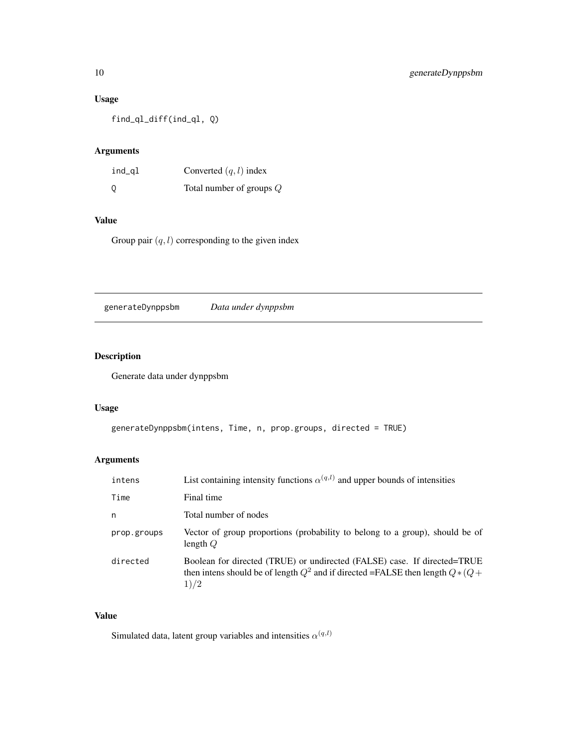### <span id="page-9-0"></span>Usage

find\_ql\_diff(ind\_ql, Q)

### Arguments

| ind_gl | Converted $(q, l)$ index   |
|--------|----------------------------|
| 0      | Total number of groups $Q$ |

### Value

Group pair  $(q, l)$  corresponding to the given index

generateDynppsbm *Data under dynppsbm*

### Description

Generate data under dynppsbm

### Usage

```
generateDynppsbm(intens, Time, n, prop.groups, directed = TRUE)
```
### Arguments

| intens      | List containing intensity functions $\alpha^{(q,l)}$ and upper bounds of intensities                                                                                  |
|-------------|-----------------------------------------------------------------------------------------------------------------------------------------------------------------------|
| Time        | Final time                                                                                                                                                            |
| n           | Total number of nodes                                                                                                                                                 |
| prop.groups | Vector of group proportions (probability to belong to a group), should be of<br>length $Q$                                                                            |
| directed    | Boolean for directed (TRUE) or undirected (FALSE) case. If directed=TRUE<br>then intens should be of length $Q^2$ and if directed =FALSE then length $Q*(Q +$<br>1)/2 |

### Value

Simulated data, latent group variables and intensities  $\alpha^{(q,l)}$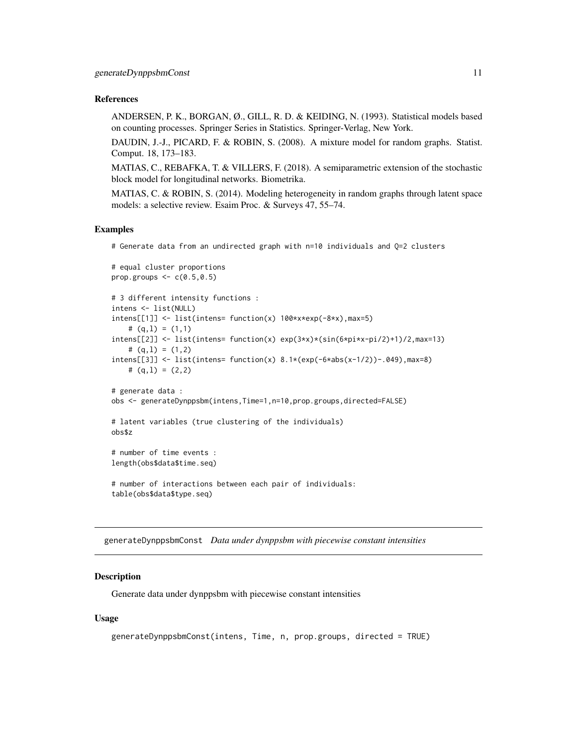#### <span id="page-10-0"></span>References

ANDERSEN, P. K., BORGAN, Ø., GILL, R. D. & KEIDING, N. (1993). Statistical models based on counting processes. Springer Series in Statistics. Springer-Verlag, New York.

DAUDIN, J.-J., PICARD, F. & ROBIN, S. (2008). A mixture model for random graphs. Statist. Comput. 18, 173–183.

MATIAS, C., REBAFKA, T. & VILLERS, F. (2018). A semiparametric extension of the stochastic block model for longitudinal networks. Biometrika.

MATIAS, C. & ROBIN, S. (2014). Modeling heterogeneity in random graphs through latent space models: a selective review. Esaim Proc. & Surveys 47, 55–74.

#### Examples

# Generate data from an undirected graph with n=10 individuals and Q=2 clusters

```
# equal cluster proportions
prop.groups \leq -c(0.5, 0.5)# 3 different intensity functions :
intens <- list(NULL)
intens[[1]] <- list(intens= function(x) 100*x*exp(-8*x),max=5)
    # (q,l) = (1,1)
intens[[2]] \le -\text{list(intens = function(x) } \exp(3*x) \times (\sin(6*pi*x-pi/2)+1)/2, \text{max=13})\# (q,1) = (1,2)intens[[3]] <- list(intens= function(x) 8.1*(exp(-6*abs(x-1/2))-.049),max=8)
   # (q,1) = (2,2)# generate data :
obs <- generateDynppsbm(intens,Time=1,n=10,prop.groups,directed=FALSE)
# latent variables (true clustering of the individuals)
obs$z
# number of time events :
length(obs$data$time.seq)
# number of interactions between each pair of individuals:
table(obs$data$type.seq)
```
generateDynppsbmConst *Data under dynppsbm with piecewise constant intensities*

#### Description

Generate data under dynppsbm with piecewise constant intensities

#### Usage

```
generateDynppsbmConst(intens, Time, n, prop.groups, directed = TRUE)
```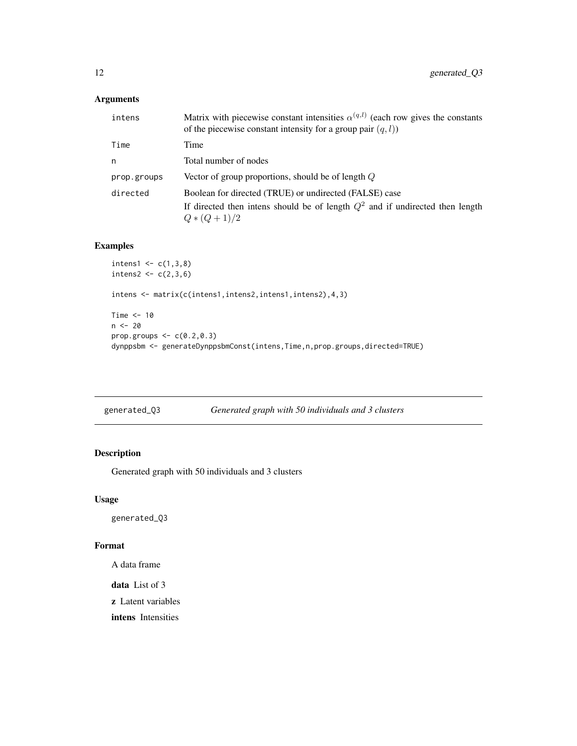### <span id="page-11-0"></span>Arguments

| intens      | Matrix with piecewise constant intensities $\alpha^{(q,l)}$ (each row gives the constants<br>of the piecewise constant intensity for a group pair $(q, l)$ ) |
|-------------|--------------------------------------------------------------------------------------------------------------------------------------------------------------|
| Time        | Time                                                                                                                                                         |
| n           | Total number of nodes                                                                                                                                        |
| prop.groups | Vector of group proportions, should be of length $Q$                                                                                                         |
| directed    | Boolean for directed (TRUE) or undirected (FALSE) case                                                                                                       |
|             | If directed then intens should be of length $Q^2$ and if undirected then length<br>$Q*(Q+1)/2$                                                               |

### Examples

```
intens1 < -c(1,3,8)intens2 < -c(2,3,6)intens <- matrix(c(intens1,intens2,intens1,intens2),4,3)
Time <-10n < - 20prop.groups \leq c(0.2, 0.3)dynppsbm <- generateDynppsbmConst(intens,Time,n,prop.groups,directed=TRUE)
```

| Generated graph with 50 individuals and 3 clusters<br>generated_Q3 |
|--------------------------------------------------------------------|
|--------------------------------------------------------------------|

### Description

Generated graph with 50 individuals and 3 clusters

#### Usage

generated\_Q3

### Format

A data frame

data List of 3

z Latent variables

intens Intensities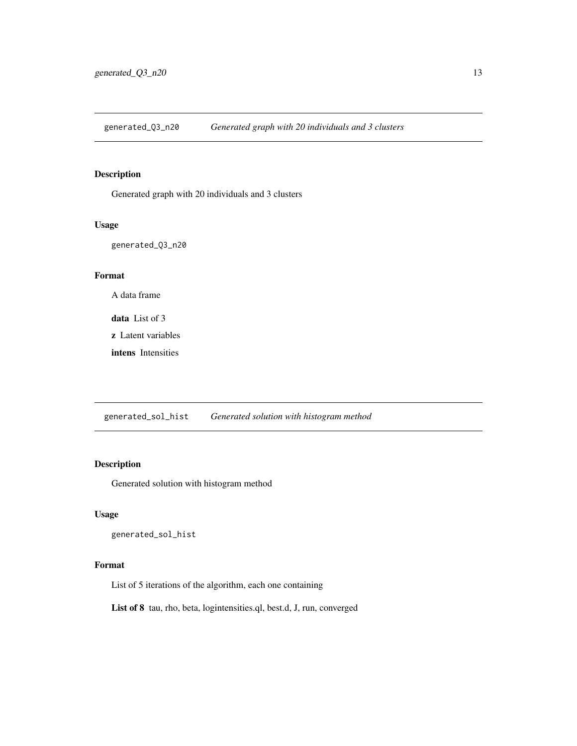<span id="page-12-0"></span>generated\_Q3\_n20 *Generated graph with 20 individuals and 3 clusters*

### Description

Generated graph with 20 individuals and 3 clusters

#### Usage

generated\_Q3\_n20

#### Format

A data frame

data List of 3

z Latent variables

intens Intensities

generated\_sol\_hist *Generated solution with histogram method*

### Description

Generated solution with histogram method

### Usage

generated\_sol\_hist

### Format

List of 5 iterations of the algorithm, each one containing

List of 8 tau, rho, beta, logintensities.ql, best.d, J, run, converged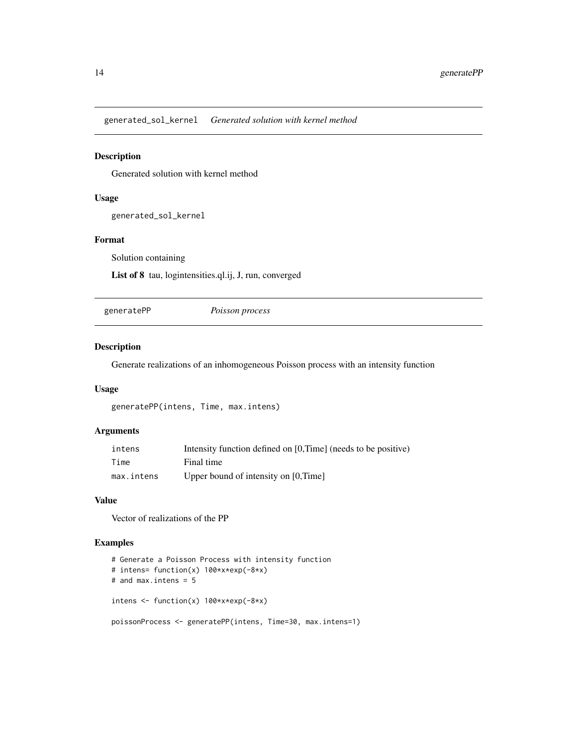<span id="page-13-0"></span>generated\_sol\_kernel *Generated solution with kernel method*

### Description

Generated solution with kernel method

#### Usage

generated\_sol\_kernel

### Format

Solution containing

List of 8 tau, logintensities.ql.ij, J, run, converged

generatePP *Poisson process*

### Description

Generate realizations of an inhomogeneous Poisson process with an intensity function

### Usage

generatePP(intens, Time, max.intens)

### Arguments

| intens     | Intensity function defined on [0,Time] (needs to be positive) |
|------------|---------------------------------------------------------------|
| Time       | Final time                                                    |
| max.intens | Upper bound of intensity on [0,Time]                          |

#### Value

Vector of realizations of the PP

### Examples

```
# Generate a Poisson Process with intensity function
# intens= function(x) 100*x*exp(-8*x)
# and max.intens = 5
intens <- function(x) 100*x*exp(-8*x)
poissonProcess <- generatePP(intens, Time=30, max.intens=1)
```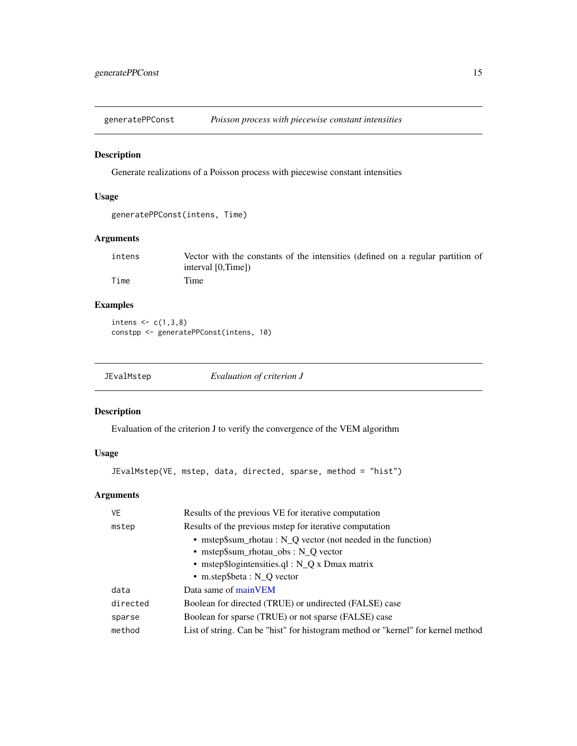<span id="page-14-0"></span>generatePPConst *Poisson process with piecewise constant intensities*

### Description

Generate realizations of a Poisson process with piecewise constant intensities

### Usage

```
generatePPConst(intens, Time)
```
### Arguments

| intens | Vector with the constants of the intensities (defined on a regular partition of |
|--------|---------------------------------------------------------------------------------|
|        | interval [0.Time])                                                              |
| Time   | Time                                                                            |

### Examples

intens  $\leq c(1,3,8)$ constpp <- generatePPConst(intens, 10)

| JEvalMstep | Evaluation of criterion J |  |
|------------|---------------------------|--|
|            |                           |  |

#### Description

Evaluation of the criterion J to verify the convergence of the VEM algorithm

### Usage

```
JEvalMstep(VE, mstep, data, directed, sparse, method = "hist")
```

| Results of the previous VE for iterative computation                             |  |
|----------------------------------------------------------------------------------|--|
| Results of the previous mstep for iterative computation                          |  |
| • mstep\$sum_rhotau : $N_Q$ vector (not needed in the function)                  |  |
| • mstep\$sum_rhotau_obs : $N_Q$ vector                                           |  |
| • mstep\$logintensities.ql : $N_Q x$ Dmax matrix                                 |  |
| • m.step\$beta : $N_Q$ vector                                                    |  |
| Data same of mainVEM                                                             |  |
| Boolean for directed (TRUE) or undirected (FALSE) case                           |  |
| Boolean for sparse (TRUE) or not sparse (FALSE) case                             |  |
| List of string. Can be "hist" for histogram method or "kernel" for kernel method |  |
|                                                                                  |  |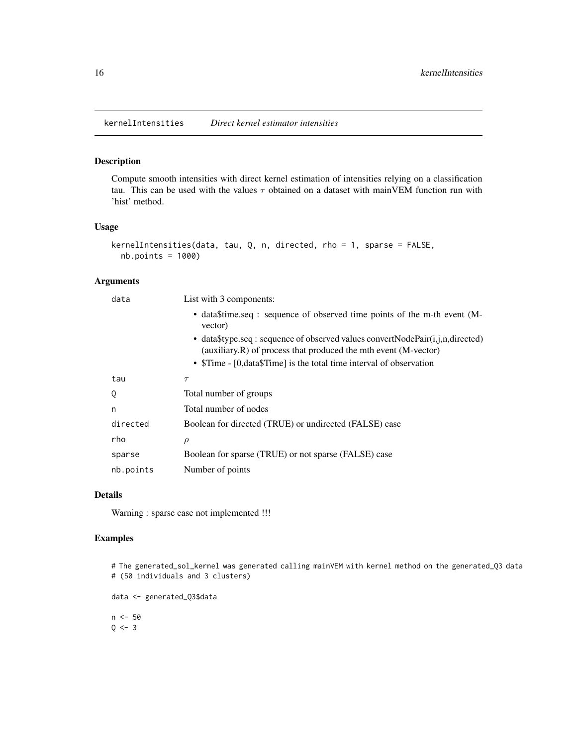<span id="page-15-0"></span>kernelIntensities *Direct kernel estimator intensities*

#### Description

Compute smooth intensities with direct kernel estimation of intensities relying on a classification tau. This can be used with the values  $\tau$  obtained on a dataset with mainVEM function run with 'hist' method.

### Usage

```
kernelIntensities(data, tau, Q, n, directed, rho = 1, sparse = FALSE,
 nb.points = 1000)
```
#### Arguments

| data      | List with 3 components:                                                                                                                             |  |  |
|-----------|-----------------------------------------------------------------------------------------------------------------------------------------------------|--|--|
|           | • data filme.seq : sequence of observed time points of the m-th event (M-<br>vector)                                                                |  |  |
|           | • data\$type.seq : sequence of observed values convertNodePair(i,j,n,directed)<br>(auxiliary.R) of process that produced the mth event $(M-vector)$ |  |  |
|           | • \$Time - [0, data\$Time] is the total time interval of observation                                                                                |  |  |
| tau       | $\tau$                                                                                                                                              |  |  |
| Q         | Total number of groups                                                                                                                              |  |  |
| n         | Total number of nodes                                                                                                                               |  |  |
| directed  | Boolean for directed (TRUE) or undirected (FALSE) case                                                                                              |  |  |
| rho       | $\rho$                                                                                                                                              |  |  |
| sparse    | Boolean for sparse (TRUE) or not sparse (FALSE) case                                                                                                |  |  |
| nb.points | Number of points                                                                                                                                    |  |  |
|           |                                                                                                                                                     |  |  |

#### Details

Warning : sparse case not implemented !!!

### Examples

# The generated\_sol\_kernel was generated calling mainVEM with kernel method on the generated\_Q3 data # (50 individuals and 3 clusters)

```
data <- generated_Q3$data
n < -50Q \le -3
```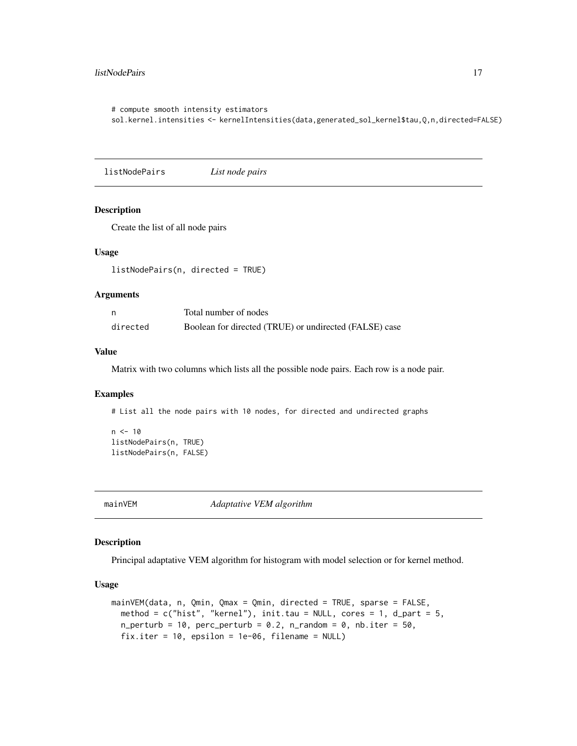#### <span id="page-16-0"></span>listNodePairs 17

```
# compute smooth intensity estimators
sol.kernel.intensities <- kernelIntensities(data,generated_sol_kernel$tau,Q,n,directed=FALSE)
```
listNodePairs *List node pairs*

#### Description

Create the list of all node pairs

#### Usage

listNodePairs(n, directed = TRUE)

#### Arguments

|          | Total number of nodes                                  |
|----------|--------------------------------------------------------|
| directed | Boolean for directed (TRUE) or undirected (FALSE) case |

#### Value

Matrix with two columns which lists all the possible node pairs. Each row is a node pair.

### Examples

# List all the node pairs with 10 nodes, for directed and undirected graphs

```
n < -10listNodePairs(n, TRUE)
listNodePairs(n, FALSE)
```
<span id="page-16-1"></span>mainVEM *Adaptative VEM algorithm*

#### Description

Principal adaptative VEM algorithm for histogram with model selection or for kernel method.

#### Usage

```
mainVEM(data, n, Qmin, Qmax = Qmin, directed = TRUE, sparse = FALSE,
  method = c("hist", "kernel"), init.tau = NULL, cores = 1, d-part = 5,n_{\text{perturb}} = 10, percup p_{\text{perturb}} = 0.2, n_{\text{random}} = 0, nb.\text{iter} = 50,
  fix.iter = 10, epsilon = 1e-06, filename = NULL)
```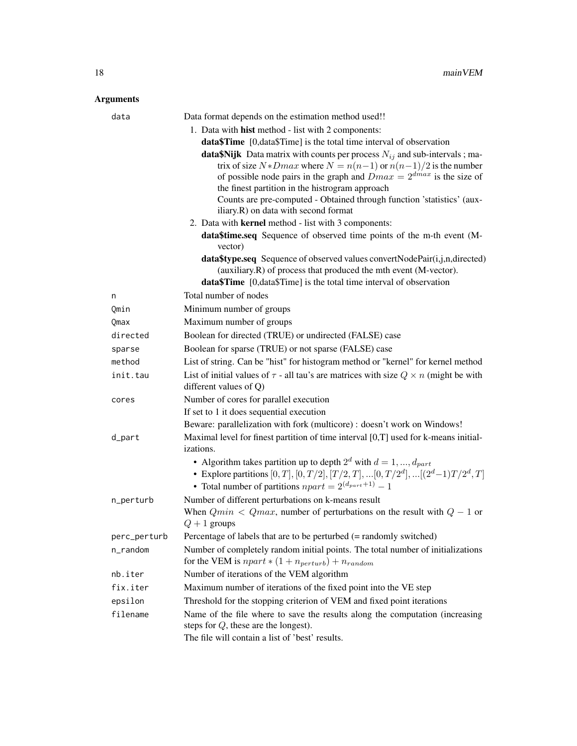| Data format depends on the estimation method used!!<br>data |                                                                                                                                                                                                                                                                                                                                                                                                                  |  |
|-------------------------------------------------------------|------------------------------------------------------------------------------------------------------------------------------------------------------------------------------------------------------------------------------------------------------------------------------------------------------------------------------------------------------------------------------------------------------------------|--|
|                                                             | 1. Data with <b>hist</b> method - list with 2 components:                                                                                                                                                                                                                                                                                                                                                        |  |
|                                                             | <b>data\$Time</b> [0, data\$Time] is the total time interval of observation                                                                                                                                                                                                                                                                                                                                      |  |
|                                                             | <b>data\$Nijk</b> Data matrix with counts per process $N_{ij}$ and sub-intervals; ma-<br>trix of size $N * Dmax$ where $N = n(n-1)$ or $n(n-1)/2$ is the number<br>of possible node pairs in the graph and $Dmax = 2^{dmax}$ is the size of<br>the finest partition in the histrogram approach<br>Counts are pre-computed - Obtained through function 'statistics' (aux-<br>iliary.R) on data with second format |  |
|                                                             | 2. Data with <b>kernel</b> method - list with 3 components:                                                                                                                                                                                                                                                                                                                                                      |  |
|                                                             | data\$time.seq Sequence of observed time points of the m-th event (M-<br>vector)                                                                                                                                                                                                                                                                                                                                 |  |
|                                                             | <b>data\$type.seq</b> Sequence of observed values convertNodePair(i,j,n,directed)<br>(auxiliary.R) of process that produced the mth event (M-vector).                                                                                                                                                                                                                                                            |  |
|                                                             | data\$Time [0,data\$Time] is the total time interval of observation                                                                                                                                                                                                                                                                                                                                              |  |
| n                                                           | Total number of nodes                                                                                                                                                                                                                                                                                                                                                                                            |  |
| Qmin                                                        | Minimum number of groups                                                                                                                                                                                                                                                                                                                                                                                         |  |
| Qmax                                                        | Maximum number of groups                                                                                                                                                                                                                                                                                                                                                                                         |  |
| directed                                                    | Boolean for directed (TRUE) or undirected (FALSE) case                                                                                                                                                                                                                                                                                                                                                           |  |
| sparse                                                      | Boolean for sparse (TRUE) or not sparse (FALSE) case                                                                                                                                                                                                                                                                                                                                                             |  |
| method                                                      | List of string. Can be "hist" for histogram method or "kernel" for kernel method                                                                                                                                                                                                                                                                                                                                 |  |
| init.tau                                                    | List of initial values of $\tau$ - all tau's are matrices with size $Q \times n$ (might be with<br>different values of $Q$ )                                                                                                                                                                                                                                                                                     |  |
| Number of cores for parallel execution<br>cores             |                                                                                                                                                                                                                                                                                                                                                                                                                  |  |
|                                                             | If set to 1 it does sequential execution                                                                                                                                                                                                                                                                                                                                                                         |  |
|                                                             | Beware: parallelization with fork (multicore) : doesn't work on Windows!                                                                                                                                                                                                                                                                                                                                         |  |
| d_part                                                      | Maximal level for finest partition of time interval [0,T] used for k-means initial-<br><i>izations.</i>                                                                                                                                                                                                                                                                                                          |  |
|                                                             | • Algorithm takes partition up to depth $2^d$ with $d = 1, , d_{part}$<br>• Explore partitions $[0,T], [0,T/2], [T/2,T],  [0,T/2^d],  [(2^d-1)T/2^d,T]$<br>• Total number of partitions $npart = 2^{(d_{part}+1)} - 1$                                                                                                                                                                                           |  |
| n_perturb                                                   | Number of different perturbations on k-means result                                                                                                                                                                                                                                                                                                                                                              |  |
|                                                             | When $Qmin < Qmax$ , number of perturbations on the result with $Q - 1$ or<br>$Q+1$ groups                                                                                                                                                                                                                                                                                                                       |  |
| perc_perturb                                                | Percentage of labels that are to be perturbed (= randomly switched)                                                                                                                                                                                                                                                                                                                                              |  |
| n_random                                                    | Number of completely random initial points. The total number of initializations<br>for the VEM is $npart * (1 + n_{perturb}) + n_{random}$                                                                                                                                                                                                                                                                       |  |
| nb.iter                                                     | Number of iterations of the VEM algorithm                                                                                                                                                                                                                                                                                                                                                                        |  |
| fix.iter                                                    | Maximum number of iterations of the fixed point into the VE step                                                                                                                                                                                                                                                                                                                                                 |  |
| epsilon                                                     | Threshold for the stopping criterion of VEM and fixed point iterations                                                                                                                                                                                                                                                                                                                                           |  |
| filename                                                    | Name of the file where to save the results along the computation (increasing<br>steps for $Q$ , these are the longest).                                                                                                                                                                                                                                                                                          |  |
|                                                             | The file will contain a list of 'best' results.                                                                                                                                                                                                                                                                                                                                                                  |  |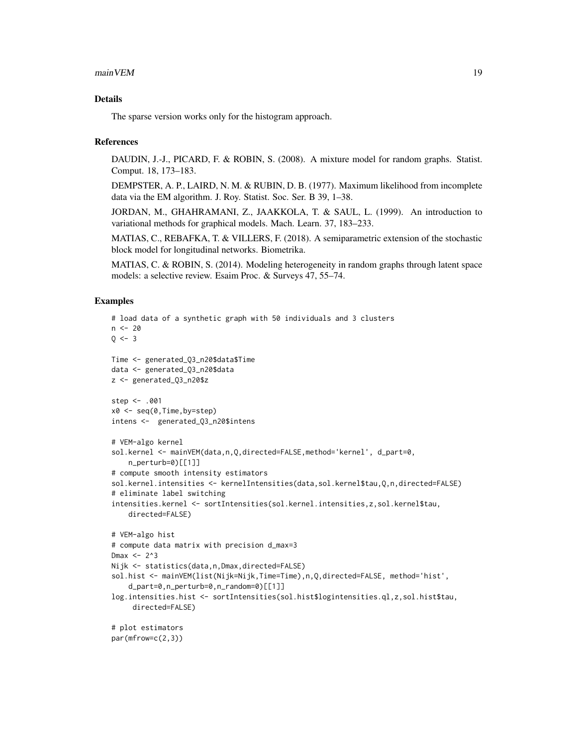#### $\text{mainVEM}$  19

#### Details

The sparse version works only for the histogram approach.

#### References

DAUDIN, J.-J., PICARD, F. & ROBIN, S. (2008). A mixture model for random graphs. Statist. Comput. 18, 173–183.

DEMPSTER, A. P., LAIRD, N. M. & RUBIN, D. B. (1977). Maximum likelihood from incomplete data via the EM algorithm. J. Roy. Statist. Soc. Ser. B 39, 1–38.

JORDAN, M., GHAHRAMANI, Z., JAAKKOLA, T. & SAUL, L. (1999). An introduction to variational methods for graphical models. Mach. Learn. 37, 183–233.

MATIAS, C., REBAFKA, T. & VILLERS, F. (2018). A semiparametric extension of the stochastic block model for longitudinal networks. Biometrika.

MATIAS, C. & ROBIN, S. (2014). Modeling heterogeneity in random graphs through latent space models: a selective review. Esaim Proc. & Surveys 47, 55–74.

#### Examples

```
# load data of a synthetic graph with 50 individuals and 3 clusters
n < -200 < -3Time <- generated_Q3_n20$data$Time
data <- generated_Q3_n20$data
z <- generated_Q3_n20$z
step <- .001
x0 <- seq(0,Time,by=step)
intens <- generated_Q3_n20$intens
# VEM-algo kernel
sol.kernel <- mainVEM(data,n,Q,directed=FALSE,method='kernel', d_part=0,
    n_perturb=0)[[1]]
# compute smooth intensity estimators
sol.kernel.intensities <- kernelIntensities(data,sol.kernel$tau,Q,n,directed=FALSE)
# eliminate label switching
intensities.kernel <- sortIntensities(sol.kernel.intensities,z,sol.kernel$tau,
    directed=FALSE)
# VEM-algo hist
# compute data matrix with precision d_max=3
Dmax <-2^3Nijk <- statistics(data,n,Dmax,directed=FALSE)
sol.hist <- mainVEM(list(Nijk=Nijk,Time=Time),n,Q,directed=FALSE, method='hist',
    d_part=0,n_perturb=0,n_random=0)[[1]]
log.intensities.hist <- sortIntensities(sol.hist$logintensities.ql,z,sol.hist$tau,
     directed=FALSE)
# plot estimators
par(mfrow=c(2,3))
```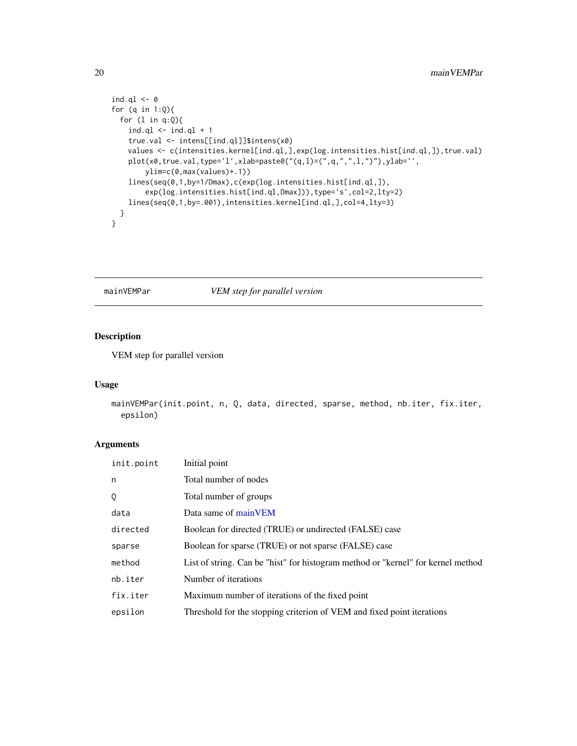```
ind.ql <-0for (q in 1:Q){
 for (l in q:Q){
   ind.ql < -ind.ql + 1true.val <- intens[[ind.ql]]$intens(x0)
   values <- c(intensities.kernel[ind.ql,],exp(log.intensities.hist[ind.ql,]),true.val)
   plot(x0,true.val,type='l',xlab=paste0("(q,l)=(",q,",",l,")"),ylab='',
       ylim=c(0,max(values)+.1))
   lines(seq(0,1,by=1/Dmax),c(exp(log.intensities.hist[ind.ql,]),
        exp(log.intensities.hist[ind.ql,Dmax])),type='s',col=2,lty=2)
    lines(seq(0,1,by=.001),intensities.kernel[ind.ql,],col=4,lty=3)
  }
}
```
### mainVEMPar *VEM step for parallel version*

### Description

VEM step for parallel version

#### Usage

```
mainVEMPar(init.point, n, Q, data, directed, sparse, method, nb.iter, fix.iter,
  epsilon)
```

| init.point | Initial point                                                                    |  |
|------------|----------------------------------------------------------------------------------|--|
| n          | Total number of nodes                                                            |  |
| Q          | Total number of groups                                                           |  |
| data       | Data same of mainVEM                                                             |  |
| directed   | Boolean for directed (TRUE) or undirected (FALSE) case                           |  |
| sparse     | Boolean for sparse (TRUE) or not sparse (FALSE) case                             |  |
| method     | List of string. Can be "hist" for histogram method or "kernel" for kernel method |  |
| nb.iter    | Number of iterations                                                             |  |
| fix.iter   | Maximum number of iterations of the fixed point                                  |  |
| epsilon    | Threshold for the stopping criterion of VEM and fixed point iterations           |  |

<span id="page-19-0"></span>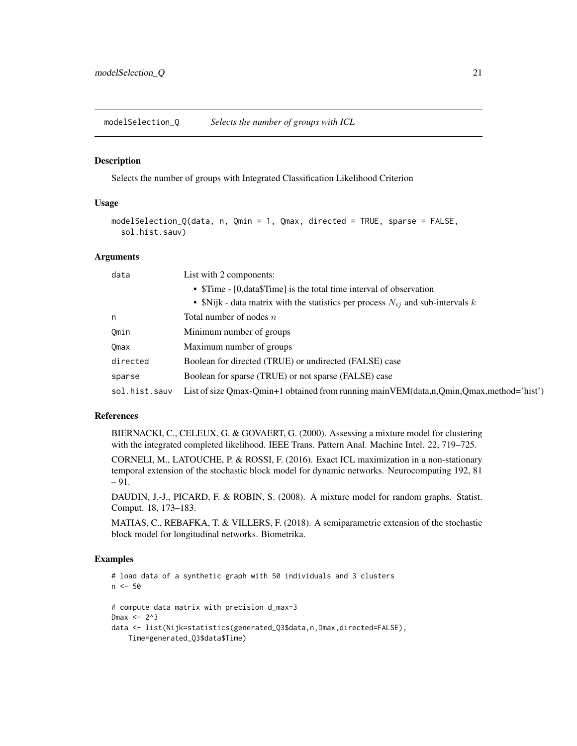<span id="page-20-0"></span>modelSelection\_Q *Selects the number of groups with ICL*

#### Description

Selects the number of groups with Integrated Classification Likelihood Criterion

#### Usage

```
modelSelection_Q(data, n, Qmin = 1, Qmax, directed = TRUE, sparse = FALSE,
  sol.hist.sauv)
```
#### Arguments

| data                                                           | List with 2 components:                                                                 |  |
|----------------------------------------------------------------|-----------------------------------------------------------------------------------------|--|
|                                                                | • \$Time - [0, data\$Time] is the total time interval of observation                    |  |
|                                                                | • \$Nijk - data matrix with the statistics per process $N_{ij}$ and sub-intervals k     |  |
| n                                                              | Total number of nodes $n$                                                               |  |
| Omin                                                           | Minimum number of groups                                                                |  |
| Omax                                                           | Maximum number of groups                                                                |  |
| directed                                                       | Boolean for directed (TRUE) or undirected (FALSE) case                                  |  |
| Boolean for sparse (TRUE) or not sparse (FALSE) case<br>sparse |                                                                                         |  |
| sol.hist.sauv                                                  | List of size Qmax-Qmin+1 obtained from running main VEM(data,n,Qmin,Qmax,method='hist') |  |

### References

BIERNACKI, C., CELEUX, G. & GOVAERT, G. (2000). Assessing a mixture model for clustering with the integrated completed likelihood. IEEE Trans. Pattern Anal. Machine Intel. 22, 719–725.

CORNELI, M., LATOUCHE, P. & ROSSI, F. (2016). Exact ICL maximization in a non-stationary temporal extension of the stochastic block model for dynamic networks. Neurocomputing 192, 81 – 91.

DAUDIN, J.-J., PICARD, F. & ROBIN, S. (2008). A mixture model for random graphs. Statist. Comput. 18, 173–183.

MATIAS, C., REBAFKA, T. & VILLERS, F. (2018). A semiparametric extension of the stochastic block model for longitudinal networks. Biometrika.

#### Examples

```
# load data of a synthetic graph with 50 individuals and 3 clusters
n <- 50
# compute data matrix with precision d_max=3
Dmax <- 2^3
data <- list(Nijk=statistics(generated_Q3$data,n,Dmax,directed=FALSE),
   Time=generated_Q3$data$Time)
```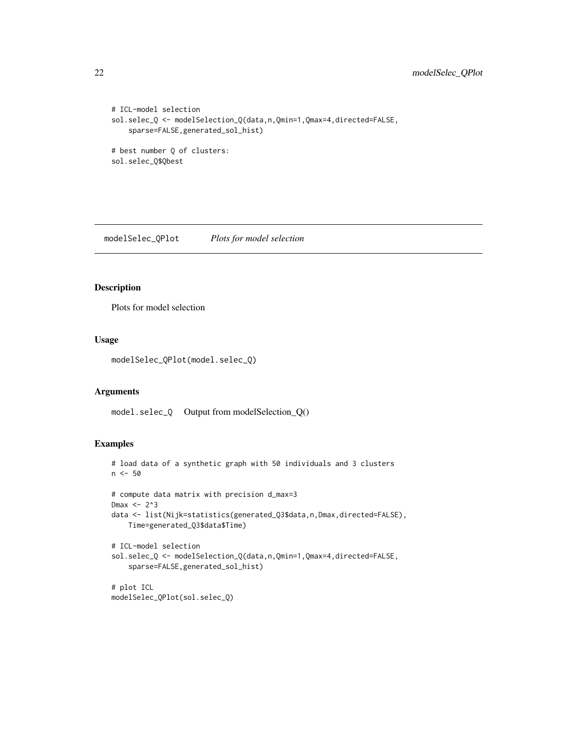```
# ICL-model selection
sol.selec_Q <- modelSelection_Q(data,n,Qmin=1,Qmax=4,directed=FALSE,
   sparse=FALSE,generated_sol_hist)
# best number Q of clusters:
sol.selec_Q$Qbest
```
modelSelec\_QPlot *Plots for model selection*

#### Description

Plots for model selection

#### Usage

modelSelec\_QPlot(model.selec\_Q)

#### Arguments

model.selec\_Q Output from modelSelection\_Q()

#### Examples

```
# load data of a synthetic graph with 50 individuals and 3 clusters
n < -50# compute data matrix with precision d_max=3
Dmax <- 2^3
data <- list(Nijk=statistics(generated_Q3$data,n,Dmax,directed=FALSE),
    Time=generated_Q3$data$Time)
# ICL-model selection
sol.selec_Q <- modelSelection_Q(data,n,Qmin=1,Qmax=4,directed=FALSE,
    sparse=FALSE,generated_sol_hist)
# plot ICL
modelSelec_QPlot(sol.selec_Q)
```
<span id="page-21-0"></span>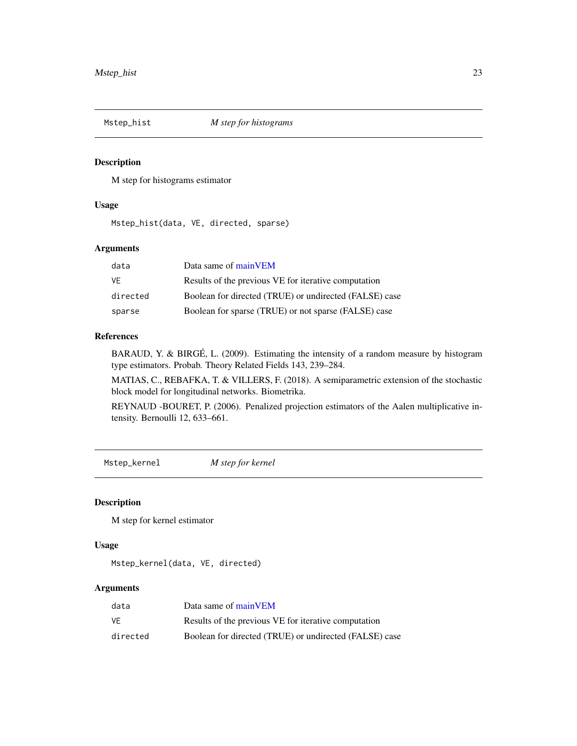<span id="page-22-0"></span>

#### Description

M step for histograms estimator

#### Usage

Mstep\_hist(data, VE, directed, sparse)

### Arguments

| data     | Data same of main VEM                                  |
|----------|--------------------------------------------------------|
| VF       | Results of the previous VE for iterative computation   |
| directed | Boolean for directed (TRUE) or undirected (FALSE) case |
| sparse   | Boolean for sparse (TRUE) or not sparse (FALSE) case   |

#### References

BARAUD, Y. & BIRGÉ, L. (2009). Estimating the intensity of a random measure by histogram type estimators. Probab. Theory Related Fields 143, 239–284.

MATIAS, C., REBAFKA, T. & VILLERS, F. (2018). A semiparametric extension of the stochastic block model for longitudinal networks. Biometrika.

REYNAUD -BOURET, P. (2006). Penalized projection estimators of the Aalen multiplicative intensity. Bernoulli 12, 633–661.

Mstep\_kernel *M step for kernel*

#### Description

M step for kernel estimator

### Usage

Mstep\_kernel(data, VE, directed)

| data     | Data same of main VEM                                  |  |
|----------|--------------------------------------------------------|--|
| VF       | Results of the previous VE for iterative computation   |  |
| directed | Boolean for directed (TRUE) or undirected (FALSE) case |  |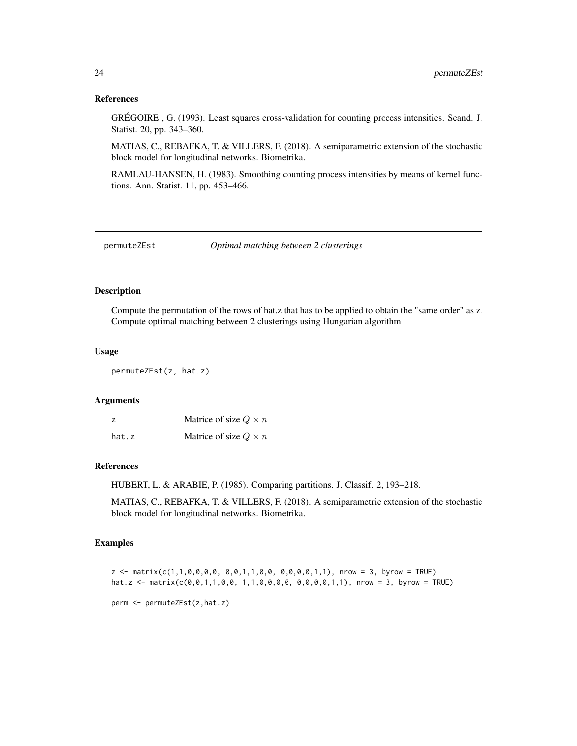#### References

GRÉGOIRE , G. (1993). Least squares cross-validation for counting process intensities. Scand. J. Statist. 20, pp. 343–360.

MATIAS, C., REBAFKA, T. & VILLERS, F. (2018). A semiparametric extension of the stochastic block model for longitudinal networks. Biometrika.

RAMLAU-HANSEN, H. (1983). Smoothing counting process intensities by means of kernel functions. Ann. Statist. 11, pp. 453–466.

permuteZEst *Optimal matching between 2 clusterings*

### Description

Compute the permutation of the rows of hat.z that has to be applied to obtain the "same order" as z. Compute optimal matching between 2 clusterings using Hungarian algorithm

#### Usage

permuteZEst(z, hat.z)

#### Arguments

| z     | Matrice of size $Q \times n$ |
|-------|------------------------------|
| hat.z | Matrice of size $Q \times n$ |

#### References

HUBERT, L. & ARABIE, P. (1985). Comparing partitions. J. Classif. 2, 193–218.

MATIAS, C., REBAFKA, T. & VILLERS, F. (2018). A semiparametric extension of the stochastic block model for longitudinal networks. Biometrika.

### Examples

```
z \le matrix(c(1,1,0,0,0,0, 0,0,1,1,0,0, 0,0,0,0,1,1), nrow = 3, byrow = TRUE)
hat.z <- matrix(c(0,0,1,1,0,0, 1,1,0,0,0,0, 0,0,0,0,1,1), nrow = 3, byrow = TRUE)
perm <- permuteZEst(z,hat.z)
```
<span id="page-23-0"></span>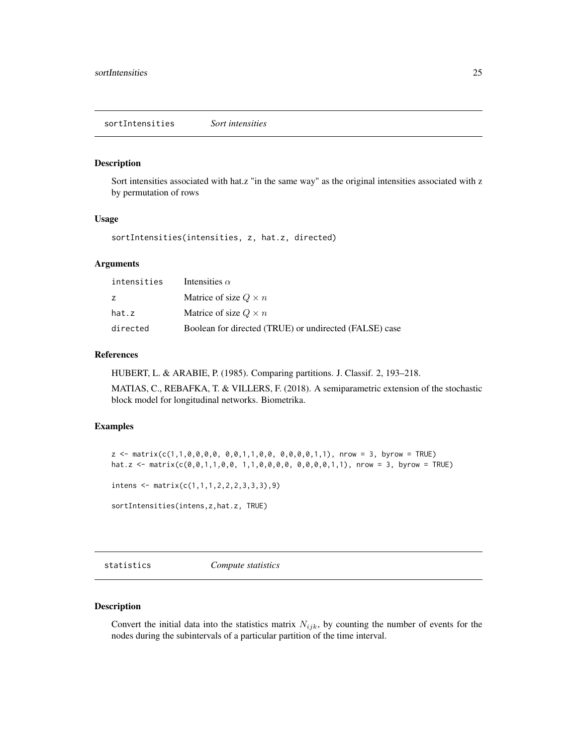#### <span id="page-24-0"></span>Description

Sort intensities associated with hat.z "in the same way" as the original intensities associated with z by permutation of rows

#### Usage

sortIntensities(intensities, z, hat.z, directed)

### Arguments

| intensities | Intensities $\alpha$                                   |
|-------------|--------------------------------------------------------|
| Z           | Matrice of size $Q \times n$                           |
| hat.z       | Matrice of size $Q \times n$                           |
| directed    | Boolean for directed (TRUE) or undirected (FALSE) case |

#### References

HUBERT, L. & ARABIE, P. (1985). Comparing partitions. J. Classif. 2, 193–218.

MATIAS, C., REBAFKA, T. & VILLERS, F. (2018). A semiparametric extension of the stochastic block model for longitudinal networks. Biometrika.

### Examples

```
z \le matrix(c(1,1,0,0,0,0, 0,0,1,1,0,0, 0,0,0,0,1,1), nrow = 3, byrow = TRUE)
hat.z <- matrix(c(0,0,1,1,0,0, 1,1,0,0,0,0, 0,0,0,0,1,1), nrow = 3, byrow = TRUE)
```

```
intens <- matrix(c(1,1,1,2,2,2,3,3,3),9)
```

```
sortIntensities(intens,z,hat.z, TRUE)
```
statistics *Compute statistics*

#### Description

Convert the initial data into the statistics matrix  $N_{ijk}$ , by counting the number of events for the nodes during the subintervals of a particular partition of the time interval.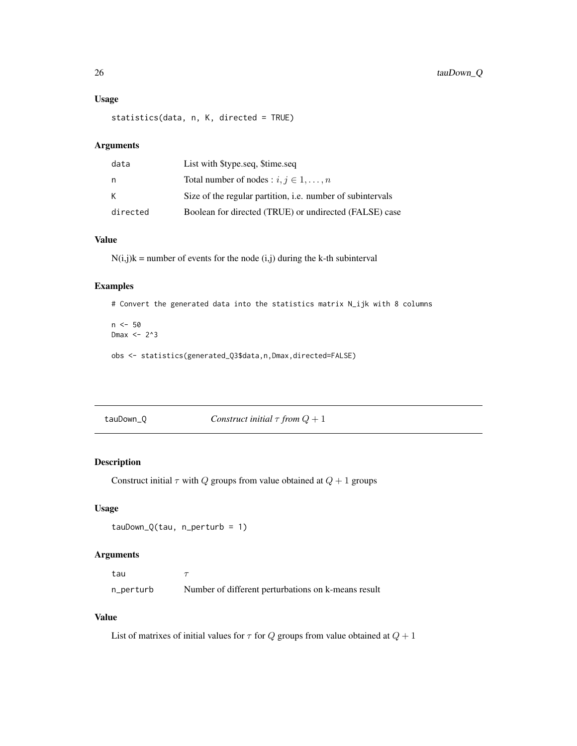#### <span id="page-25-0"></span>Usage

statistics(data, n, K, directed = TRUE)

#### Arguments

| data     | List with \$type.seq, \$time.seq                                  |
|----------|-------------------------------------------------------------------|
| n.       | Total number of nodes : $i, j \in 1, , n$                         |
| К        | Size of the regular partition, <i>i.e.</i> number of subintervals |
| directed | Boolean for directed (TRUE) or undirected (FALSE) case            |

### Value

 $N(i,j)k$  = number of events for the node  $(i,j)$  during the k-th subinterval

### Examples

# Convert the generated data into the statistics matrix N\_ijk with 8 columns

 $n < -50$ Dmax  $<-2^3$ obs <- statistics(generated\_Q3\$data,n,Dmax,directed=FALSE)

tauDown\_Q *Construct initial* τ *from* Q + 1

#### Description

Construct initial  $\tau$  with  $Q$  groups from value obtained at  $Q + 1$  groups

### Usage

```
tau_Q(tau, n_perturb = 1)
```
### Arguments

tau  $\tau$ n\_perturb Number of different perturbations on k-means result

#### Value

List of matrixes of initial values for  $\tau$  for  $Q$  groups from value obtained at  $Q + 1$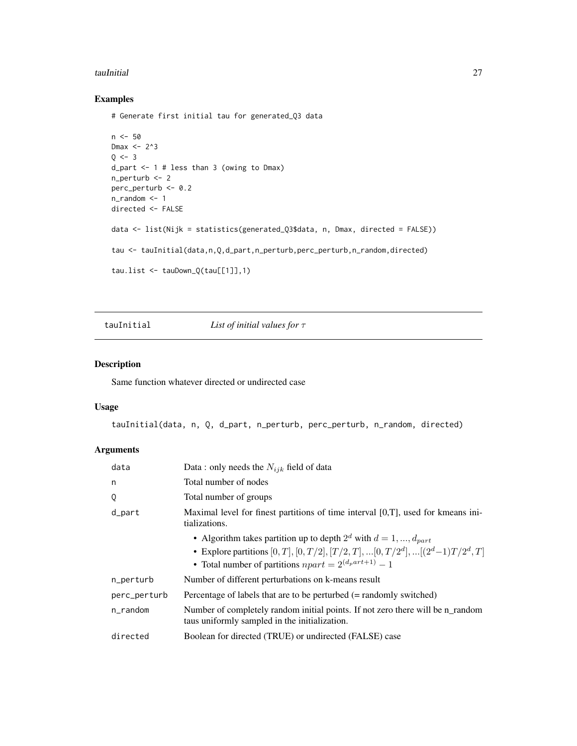#### <span id="page-26-0"></span>tauInitial 27

### Examples

# Generate first initial tau for generated\_Q3 data

```
n < -50Dmax <- 2^3
0 < -3d_part <- 1 # less than 3 (owing to Dmax)
n_perturb <- 2
perc_perturb <- 0.2
n_random <- 1
directed <- FALSE
data <- list(Nijk = statistics(generated_Q3$data, n, Dmax, directed = FALSE))
tau <- tauInitial(data,n,Q,d_part,n_perturb,perc_perturb,n_random,directed)
tau.list <- tauDown_Q(tau[[1]],1)
```
tauInitial *List of initial values for* τ

### Description

Same function whatever directed or undirected case

#### Usage

tauInitial(data, n, Q, d\_part, n\_perturb, perc\_perturb, n\_random, directed)

| data         | Data : only needs the $N_{ijk}$ field of data                                                                                                                                                                                           |
|--------------|-----------------------------------------------------------------------------------------------------------------------------------------------------------------------------------------------------------------------------------------|
| n            | Total number of nodes                                                                                                                                                                                                                   |
| Q            | Total number of groups                                                                                                                                                                                                                  |
| d_part       | Maximal level for finest partitions of time interval $[0,T]$ , used for kmeans ini-<br>tializations.                                                                                                                                    |
|              | • Algorithm takes partition up to depth $2^d$ with $d = 1, , d_{part}$<br>• Explore partitions $[0, T], [0, T/2], [T/2, T], \dots [0, T/2^d], \dots [(2^d-1)T/2^d, T]$<br>• Total number of partitions $npart = 2^{(d_{p}art + 1)} - 1$ |
| n_perturb    | Number of different perturbations on k-means result                                                                                                                                                                                     |
| perc_perturb | Percentage of labels that are to be perturbed (= randomly switched)                                                                                                                                                                     |
| $n$ _random  | Number of completely random initial points. If not zero there will be n random<br>taus uniformly sampled in the initialization.                                                                                                         |
| directed     | Boolean for directed (TRUE) or undirected (FALSE) case                                                                                                                                                                                  |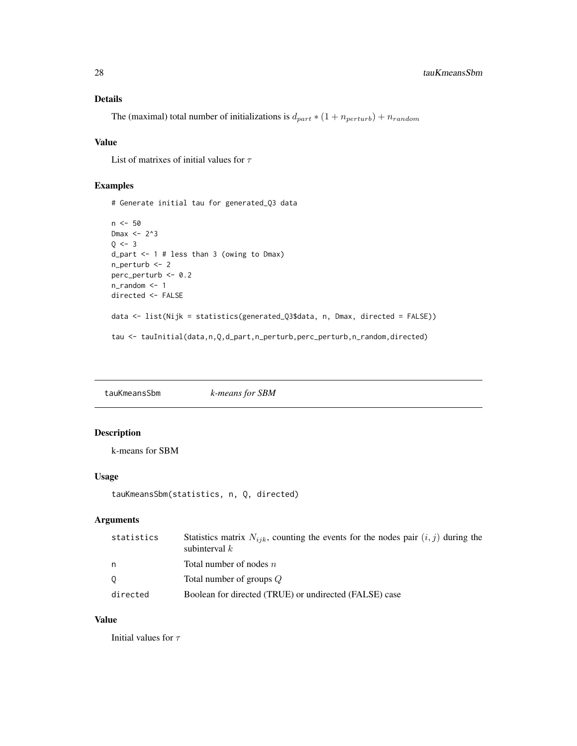#### <span id="page-27-0"></span>Details

The (maximal) total number of initializations is  $d_{part} * (1 + n_{perturb}) + n_{random}$ 

### Value

List of matrixes of initial values for  $\tau$ 

### Examples

```
# Generate initial tau for generated_Q3 data
n <- 50
Dmax <- 2^3
Q \le -3d_part <- 1 # less than 3 (owing to Dmax)
n_perturb <- 2
perc_perturb <- 0.2
n_random <- 1
directed <- FALSE
data <- list(Nijk = statistics(generated_Q3$data, n, Dmax, directed = FALSE))
tau <- tauInitial(data,n,Q,d_part,n_perturb,perc_perturb,n_random,directed)
```
tauKmeansSbm *k-means for SBM*

#### Description

k-means for SBM

#### Usage

```
tauKmeansSbm(statistics, n, Q, directed)
```
### Arguments

| statistics | Statistics matrix $N_{iik}$ , counting the events for the nodes pair $(i, j)$ during the<br>subinterval $k$ |
|------------|-------------------------------------------------------------------------------------------------------------|
| n          | Total number of nodes $n$                                                                                   |
| $\circ$    | Total number of groups Q                                                                                    |
| directed   | Boolean for directed (TRUE) or undirected (FALSE) case                                                      |

#### Value

Initial values for  $\tau$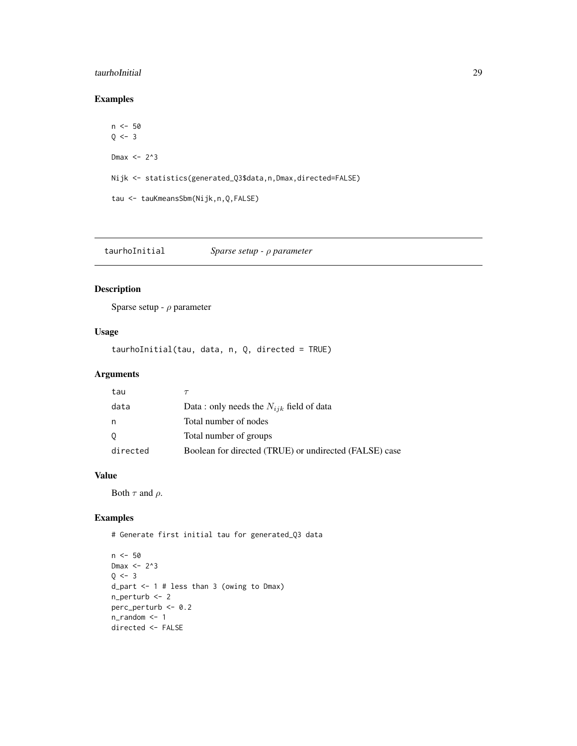#### <span id="page-28-0"></span>taurhoInitial 29

### Examples

```
n <- 50
Q \le -3Dmax <- 2^3
Nijk <- statistics(generated_Q3$data,n,Dmax,directed=FALSE)
tau <- tauKmeansSbm(Nijk,n,Q,FALSE)
```
taurhoInitial *Sparse setup -* ρ *parameter*

### Description

Sparse setup -  $\rho$  parameter

### Usage

taurhoInitial(tau, data, n, Q, directed = TRUE)

### Arguments

| tau      |                                                        |
|----------|--------------------------------------------------------|
| data     | Data : only needs the $N_{ijk}$ field of data          |
| n        | Total number of nodes                                  |
| $\circ$  | Total number of groups                                 |
| directed | Boolean for directed (TRUE) or undirected (FALSE) case |

#### Value

Both  $\tau$  and  $\rho$ .

### Examples

# Generate first initial tau for generated\_Q3 data

```
n <- 50
Dmax <- 2^3
Q \le -3d_part <- 1 # less than 3 (owing to Dmax)
n_perturb <- 2
perc_perturb <- 0.2
n_random <- 1
directed <- FALSE
```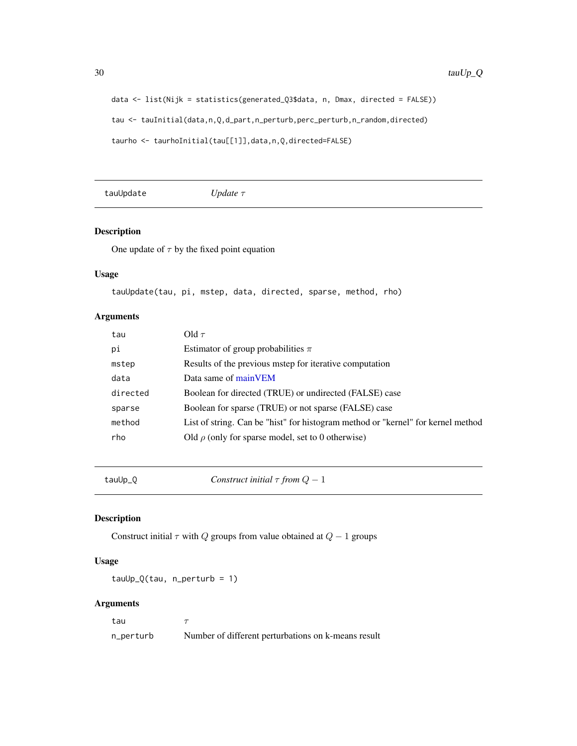30 tau $Up\_Q$ 

```
data <- list(Nijk = statistics(generated_Q3$data, n, Dmax, directed = FALSE))
tau <- tauInitial(data,n,Q,d_part,n_perturb,perc_perturb,n_random,directed)
taurho <- taurhoInitial(tau[[1]],data,n,Q,directed=FALSE)
```
tauUpdate *Update* τ

### Description

One update of  $\tau$  by the fixed point equation

### Usage

```
tauUpdate(tau, pi, mstep, data, directed, sparse, method, rho)
```
#### Arguments

| tau      | Old $\tau$                                                                       |
|----------|----------------------------------------------------------------------------------|
| pi       | Estimator of group probabilities $\pi$                                           |
| mstep    | Results of the previous mstep for iterative computation                          |
| data     | Data same of mainVEM                                                             |
| directed | Boolean for directed (TRUE) or undirected (FALSE) case                           |
| sparse   | Boolean for sparse (TRUE) or not sparse (FALSE) case                             |
| method   | List of string. Can be "hist" for histogram method or "kernel" for kernel method |
| rho      | Old $\rho$ (only for sparse model, set to 0 otherwise)                           |
|          |                                                                                  |

tauUp\_Q *Construct initial* τ *from* Q − 1

### Description

Construct initial  $\tau$  with  $Q$  groups from value obtained at  $Q - 1$  groups

#### Usage

 $tauUp_Q(tau, n_perturb = 1)$ 

#### Arguments

tau  $\tau$ 

n\_perturb Number of different perturbations on k-means result

<span id="page-29-0"></span>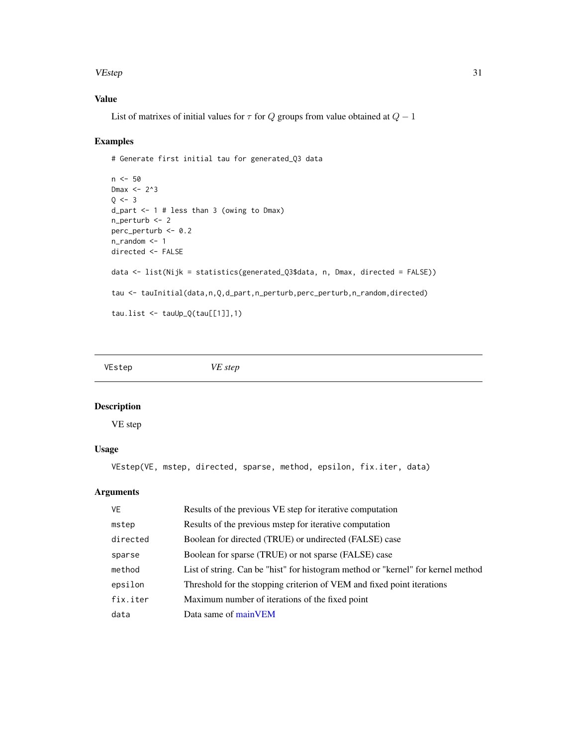#### <span id="page-30-0"></span>VEstep 31

### Value

List of matrixes of initial values for  $\tau$  for Q groups from value obtained at  $Q - 1$ 

#### Examples

```
# Generate first initial tau for generated_Q3 data
n <- 50
Dmax <- 2^3
Q \le -3d_part <- 1 # less than 3 (owing to Dmax)
n_perturb <- 2
perc_perturb <- 0.2
n_random <- 1
directed <- FALSE
data <- list(Nijk = statistics(generated_Q3$data, n, Dmax, directed = FALSE))
tau <- tauInitial(data,n,Q,d_part,n_perturb,perc_perturb,n_random,directed)
tau.list \leq tauUp_Q(tau[[1]],1)
```
VEstep *VE step*

#### Description

VE step

#### Usage

VEstep(VE, mstep, directed, sparse, method, epsilon, fix.iter, data)

| VE       | Results of the previous VE step for iterative computation                        |
|----------|----------------------------------------------------------------------------------|
| mstep    | Results of the previous mstep for iterative computation                          |
| directed | Boolean for directed (TRUE) or undirected (FALSE) case                           |
| sparse   | Boolean for sparse (TRUE) or not sparse (FALSE) case                             |
| method   | List of string. Can be "hist" for histogram method or "kernel" for kernel method |
| epsilon  | Threshold for the stopping criterion of VEM and fixed point iterations           |
| fix.iter | Maximum number of iterations of the fixed point                                  |
| data     | Data same of main VEM                                                            |